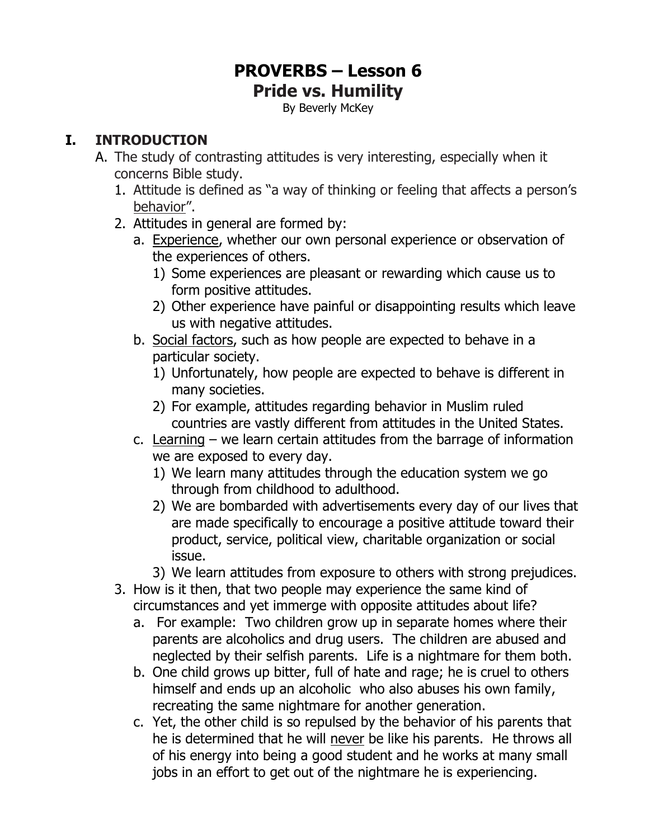# **PROVERBS – Lesson 6 Pride vs. Humility**

By Beverly McKey

## **I. INTRODUCTION**

- A. The study of contrasting attitudes is very interesting, especially when it concerns Bible study.
	- 1. Attitude is defined as "a way of thinking or feeling that affects a person's behavior".
	- 2. Attitudes in general are formed by:
		- a. Experience, whether our own personal experience or observation of the experiences of others.
			- 1) Some experiences are pleasant or rewarding which cause us to form positive attitudes.
			- 2) Other experience have painful or disappointing results which leave us with negative attitudes.
		- b. Social factors, such as how people are expected to behave in a particular society.
			- 1) Unfortunately, how people are expected to behave is different in many societies.
			- 2) For example, attitudes regarding behavior in Muslim ruled countries are vastly different from attitudes in the United States.
		- c. Learning we learn certain attitudes from the barrage of information we are exposed to every day.
			- 1) We learn many attitudes through the education system we go through from childhood to adulthood.
			- 2) We are bombarded with advertisements every day of our lives that are made specifically to encourage a positive attitude toward their product, service, political view, charitable organization or social issue.
			- 3) We learn attitudes from exposure to others with strong prejudices.
	- 3. How is it then, that two people may experience the same kind of circumstances and yet immerge with opposite attitudes about life?
		- a. For example: Two children grow up in separate homes where their parents are alcoholics and drug users. The children are abused and neglected by their selfish parents. Life is a nightmare for them both.
		- b. One child grows up bitter, full of hate and rage; he is cruel to others himself and ends up an alcoholic who also abuses his own family, recreating the same nightmare for another generation.
		- c. Yet, the other child is so repulsed by the behavior of his parents that he is determined that he will never be like his parents. He throws all of his energy into being a good student and he works at many small jobs in an effort to get out of the nightmare he is experiencing.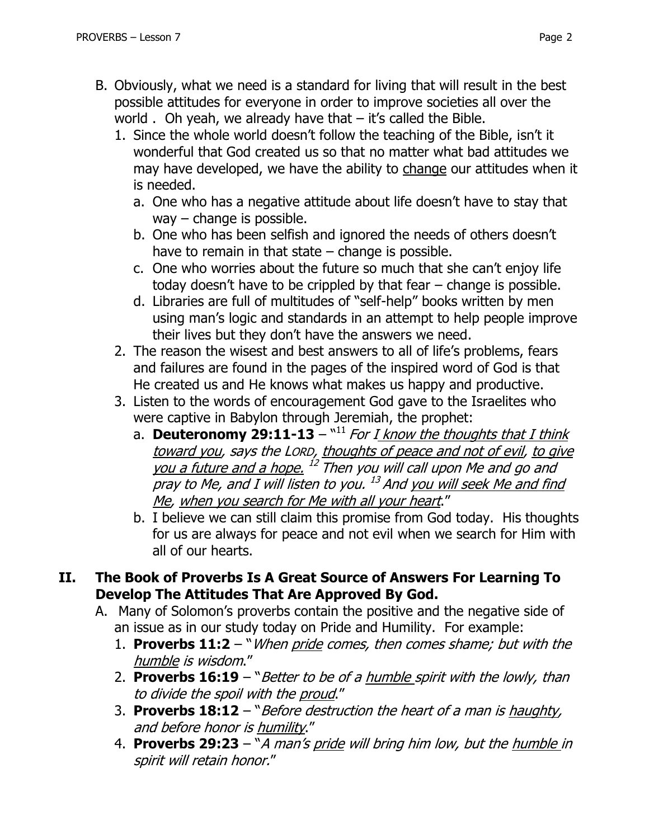- B. Obviously, what we need is a standard for living that will result in the best possible attitudes for everyone in order to improve societies all over the world  $\Delta$ . Oh yeah, we already have that  $-$  it's called the Bible.
	- 1. Since the whole world doesn't follow the teaching of the Bible, isn't it wonderful that God created us so that no matter what bad attitudes we may have developed, we have the ability to change our attitudes when it is needed.
		- a. One who has a negative attitude about life doesn't have to stay that way – change is possible.
		- b. One who has been selfish and ignored the needs of others doesn't have to remain in that state  $-$  change is possible.
		- c. One who worries about the future so much that she can't enjoy life today doesn't have to be crippled by that fear – change is possible.
		- d. Libraries are full of multitudes of "self-help" books written by men using man's logic and standards in an attempt to help people improve their lives but they don't have the answers we need.
	- 2. The reason the wisest and best answers to all of life's problems, fears and failures are found in the pages of the inspired word of God is that He created us and He knows what makes us happy and productive.
	- 3. Listen to the words of encouragement God gave to the Israelites who were captive in Babylon through Jeremiah, the prophet:
		- a. Deuteronomy 29:11-13 "<sup>11</sup> For I know the thoughts that I think toward you, says the LORD, thoughts of peace and not of evil, to give you a future and a hope. <sup>12</sup> Then you will call upon Me and go and pray to Me, and I will listen to you. <sup>13</sup> And <u>you will seek Me and find</u> Me, when you search for Me with all your heart."
		- b. I believe we can still claim this promise from God today. His thoughts for us are always for peace and not evil when we search for Him with all of our hearts.

#### **II. The Book of Proverbs Is A Great Source of Answers For Learning To Develop The Attitudes That Are Approved By God.**

- A. Many of Solomon's proverbs contain the positive and the negative side of an issue as in our study today on Pride and Humility. For example:
	- 1. **Proverbs 11:2** "When pride comes, then comes shame; but with the humble is wisdom."
	- 2. **[Proverbs 16:19](https://www.biblegateway.com/passage/?search=Proverbs+16:19&version=NKJV)** "Better to be of a humble spirit with the lowly, than to divide the spoil with the proud."
	- 3. **Proverbs 18:12** "Before destruction the heart of a man is haughty, and before honor is humility."
	- 4. **Proverbs 29:23** "A man's pride will bring him low, but the humble in spirit will retain honor."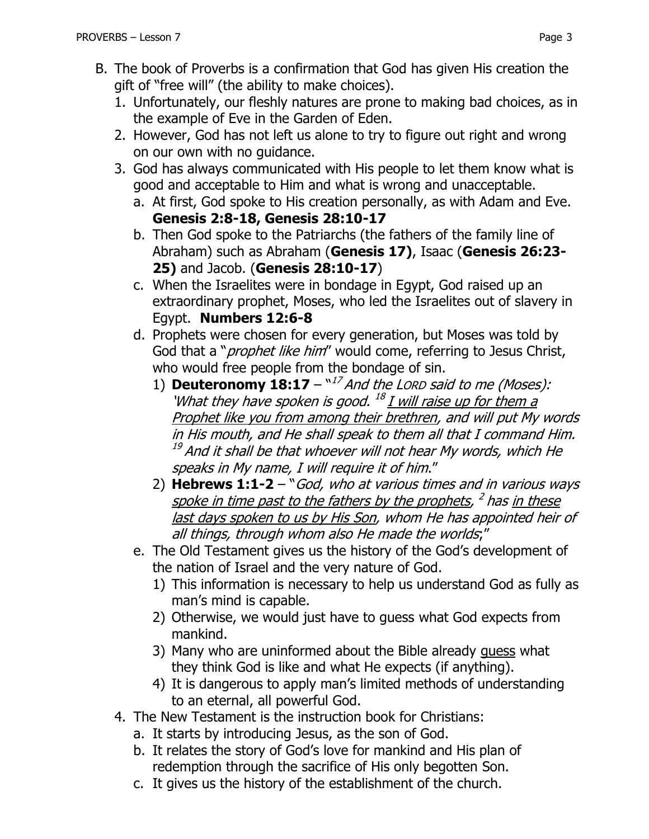- B. The book of Proverbs is a confirmation that God has given His creation the gift of "free will" (the ability to make choices).
	- 1. Unfortunately, our fleshly natures are prone to making bad choices, as in the example of Eve in the Garden of Eden.
	- 2. However, God has not left us alone to try to figure out right and wrong on our own with no guidance.
	- 3. God has always communicated with His people to let them know what is good and acceptable to Him and what is wrong and unacceptable.
		- a. At first, God spoke to His creation personally, as with Adam and Eve. **Genesis 2:8-18, Genesis 28:10-17**
		- b. Then God spoke to the Patriarchs (the fathers of the family line of Abraham) such as Abraham (**Genesis 17)**, Isaac (**Genesis 26:23- 25)** and Jacob. (**Genesis 28:10-17**)
		- c. When the Israelites were in bondage in Egypt, God raised up an extraordinary prophet, Moses, who led the Israelites out of slavery in Egypt. **Numbers 12:6-8**
		- d. Prophets were chosen for every generation, but Moses was told by God that a "*prophet like him*" would come, referring to Jesus Christ, who would free people from the bondage of sin.
			- 1) **Deuteronomy 18:17**  $-\frac{17}{17}$  *And the LORD said to me (Moses):* 'What they have spoken is good. <sup>18</sup> <u>I will raise up for them a</u> Prophet like you from among their brethren, and will put My words in His mouth, and He shall speak to them all that I command Him.  $^\mathrm{19}$  And it shall be that whoever will not hear My words, which He speaks in My name, I will require it of him."
			- 2) **Hebrews 1:1-2**  "God, who at various times and in various ways spoke in time past to the fathers by the prophets, <sup>2</sup> has <u>in these</u> last days spoken to us by His Son, whom He has appointed heir of all things, through whom also He made the worlds;"
		- e. The Old Testament gives us the history of the God's development of the nation of Israel and the very nature of God.
			- 1) This information is necessary to help us understand God as fully as man's mind is capable.
			- 2) Otherwise, we would just have to guess what God expects from mankind.
			- 3) Many who are uninformed about the Bible already quess what they think God is like and what He expects (if anything).
			- 4) It is dangerous to apply man's limited methods of understanding to an eternal, all powerful God.
	- 4. The New Testament is the instruction book for Christians:
		- a. It starts by introducing Jesus, as the son of God.
		- b. It relates the story of God's love for mankind and His plan of redemption through the sacrifice of His only begotten Son.
		- c. It gives us the history of the establishment of the church.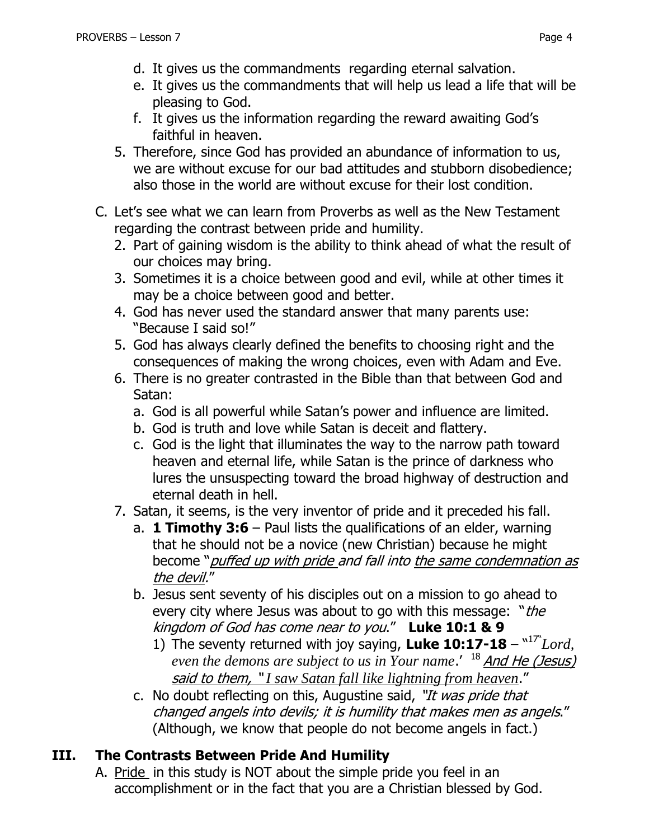- d. It gives us the commandments regarding eternal salvation.
- e. It gives us the commandments that will help us lead a life that will be pleasing to God.
- f. It gives us the information regarding the reward awaiting God's faithful in heaven.
- 5. Therefore, since God has provided an abundance of information to us, we are without excuse for our bad attitudes and stubborn disobedience; also those in the world are without excuse for their lost condition.
- C. Let's see what we can learn from Proverbs as well as the New Testament regarding the contrast between pride and humility.
	- 2. Part of gaining wisdom is the ability to think ahead of what the result of our choices may bring.
	- 3. Sometimes it is a choice between good and evil, while at other times it may be a choice between good and better.
	- 4. God has never used the standard answer that many parents use: "Because I said so!"
	- 5. God has always clearly defined the benefits to choosing right and the consequences of making the wrong choices, even with Adam and Eve.
	- 6. There is no greater contrasted in the Bible than that between God and Satan:
		- a. God is all powerful while Satan's power and influence are limited.
		- b. God is truth and love while Satan is deceit and flattery.
		- c. God is the light that illuminates the way to the narrow path toward heaven and eternal life, while Satan is the prince of darkness who lures the unsuspecting toward the broad highway of destruction and eternal death in hell.
	- 7. Satan, it seems, is the very inventor of pride and it preceded his fall.
		- a. **1 Timothy 3:6**  Paul lists the qualifications of an elder, warning that he should not be a novice (new Christian) because he might become "*puffed up with pride and fall into the same condemnation as* the devil."
		- b. Jesus sent seventy of his disciples out on a mission to go ahead to every city where Jesus was about to go with this message: "the kingdom of God has come near to you." **Luke 10:1 & 9**
			- 1) The seventy returned with joy saying, Luke  $10:17-18 17^{\circ}$  Lord, even the demons are subject to us in Your name.' <sup>18</sup> And He (Jesus) said to them, " *I saw Satan fall like lightning from heaven*."
		- c. No doubt reflecting on this, Augustine said, "It was pride that changed angels into devils; it is humility that makes men as angels." (Although, we know that people do not become angels in fact.)

# **III. The Contrasts Between Pride And Humility**

A. Pride in this study is NOT about the simple pride you feel in an accomplishment or in the fact that you are a Christian blessed by God.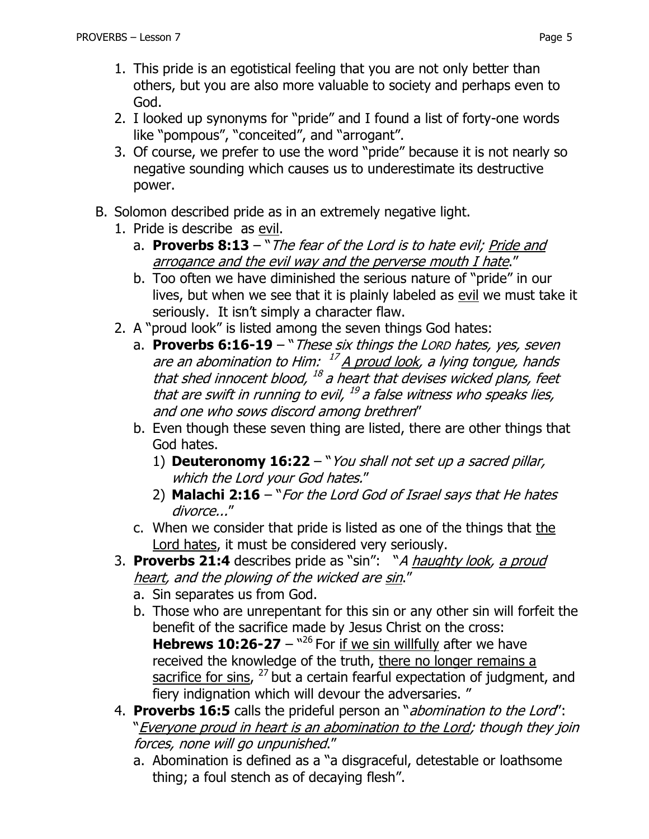- 1. This pride is an egotistical feeling that you are not only better than others, but you are also more valuable to society and perhaps even to God.
- 2. I looked up synonyms for "pride" and I found a list of forty-one words like "pompous", "conceited", and "arrogant".
- 3. Of course, we prefer to use the word "pride" because it is not nearly so negative sounding which causes us to underestimate its destructive power.
- B. Solomon described pride as in an extremely negative light.
	- 1. Pride is describe as evil.
		- a. **Proverbs 8:13** "The fear of the Lord is to hate evil; Pride and arrogance and the evil way and the perverse mouth I hate."
		- b. Too often we have diminished the serious nature of "pride" in our lives, but when we see that it is plainly labeled as evil we must take it seriously. It isn't simply a character flaw.
	- 2. A "proud look" is listed among the seven things God hates:
		- a. **Proverbs 6:16-19**  "These six things the LORD hates, yes, seven are an abomination to Him: <sup>17</sup> A proud look, a lying tongue, hands that shed innocent blood, <sup>18</sup> a heart that devises wicked plans, feet that are swift in running to evil, <sup>19</sup> a false witness who speaks lies, and one who sows discord among brethren"
		- b. Even though these seven thing are listed, there are other things that God hates.
			- 1) **Deuteronomy 16:22**  "You shall not set up a sacred pillar, which the Lord your God hates."
			- 2) **Malachi 2:16** "For the Lord God of Israel says that He hates divorce..."
		- c. When we consider that pride is listed as one of the things that the Lord hates, it must be considered very seriously.
	- 3. **Proverbs 21:4** describes pride as "sin": "A haughty look, a proud heart, and the plowing of the wicked are sin."
		- a. Sin separates us from God.
		- b. Those who are unrepentant for this sin or any other sin will forfeit the benefit of the sacrifice made by Jesus Christ on the cross: **Hebrews 10:26-27** –  $^{\prime\prime26}$  For if we sin willfully after we have received the knowledge of the truth, there no longer remains a sacrifice for sins, <sup>27</sup> but a certain fearful expectation of judgment, and fiery indignation which will devour the adversaries. "
	- 4. **Proverbs 16:5** calls the prideful person an "abomination to the Lord": "Everyone proud in heart is an abomination to the Lord; though they join forces, none will go unpunished."
		- a. Abomination is defined as a "a disgraceful, detestable or loathsome thing; a foul stench as of decaying flesh".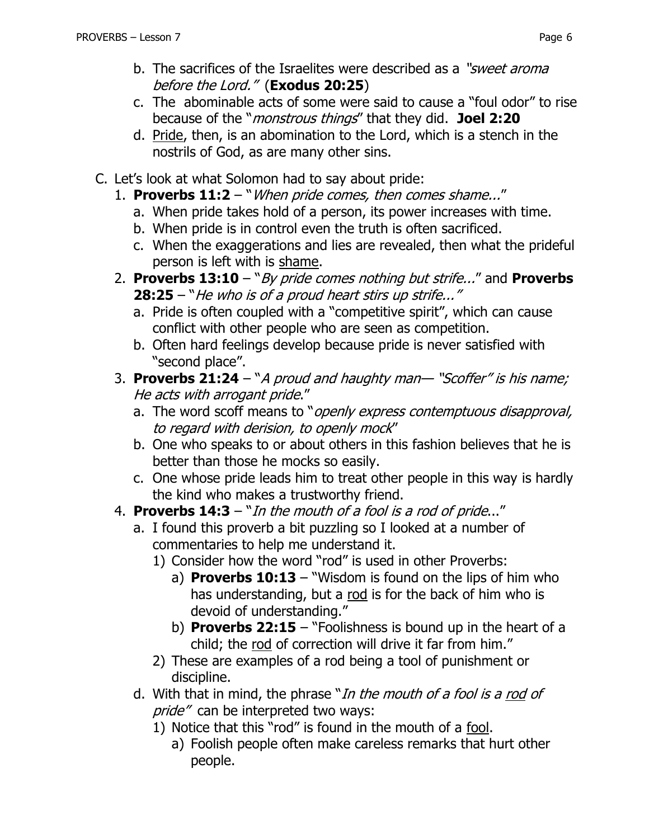- b. The sacrifices of the Israelites were described as a "*sweet aroma* before the Lord." (**Exodus 20:25**)
- c. The abominable acts of some were said to cause a "foul odor" to rise because of the "monstrous things" that they did. **Joel 2:20**
- d. Pride, then, is an abomination to the Lord, which is a stench in the nostrils of God, as are many other sins.
- C. Let's look at what Solomon had to say about pride:
	- 1. **Proverbs 11:2** "When pride comes, then comes shame..."
		- a. When pride takes hold of a person, its power increases with time.
		- b. When pride is in control even the truth is often sacrificed.
		- c. When the exaggerations and lies are revealed, then what the prideful person is left with is shame.
	- 2. **Proverbs 13:10**  "By pride comes nothing but strife..." and **Proverbs 28:25** – "He who is of a proud heart stirs up strife..."
		- a. Pride is often coupled with a "competitive spirit", which can cause conflict with other people who are seen as competition.
		- b. Often hard feelings develop because pride is never satisfied with "second place".
	- 3. **[Proverbs 21:24](https://www.biblegateway.com/passage/?search=Proverbs+21:24&version=NKJV)** "A proud and haughty man— "Scoffer" is his name; He acts with arrogant pride."
		- a. The word scoff means to "openly express contemptuous disapproval, to regard with derision, to openly mock"
		- b. One who speaks to or about others in this fashion believes that he is better than those he mocks so easily.
		- c. One whose pride leads him to treat other people in this way is hardly the kind who makes a trustworthy friend.
	- 4. **[Proverbs 14:3](https://www.biblegateway.com/passage/?search=Proverbs+14:3&version=NKJV)** "In the mouth of a fool is a rod of pride..."
		- a. I found this proverb a bit puzzling so I looked at a number of commentaries to help me understand it.
			- 1) Consider how the word "rod" is used in other Proverbs:
				- a) **Proverbs 10:13**  "Wisdom is found on the lips of him who has understanding, but a rod is for the back of him who is devoid of understanding."
				- b) **Proverbs 22:15** "Foolishness is bound up in the heart of a child; the rod of correction will drive it far from him."
			- 2) These are examples of a rod being a tool of punishment or discipline.
		- d. With that in mind, the phrase "In the mouth of a fool is a rod of pride" can be interpreted two ways:
			- 1) Notice that this "rod" is found in the mouth of a fool.
				- a) Foolish people often make careless remarks that hurt other people.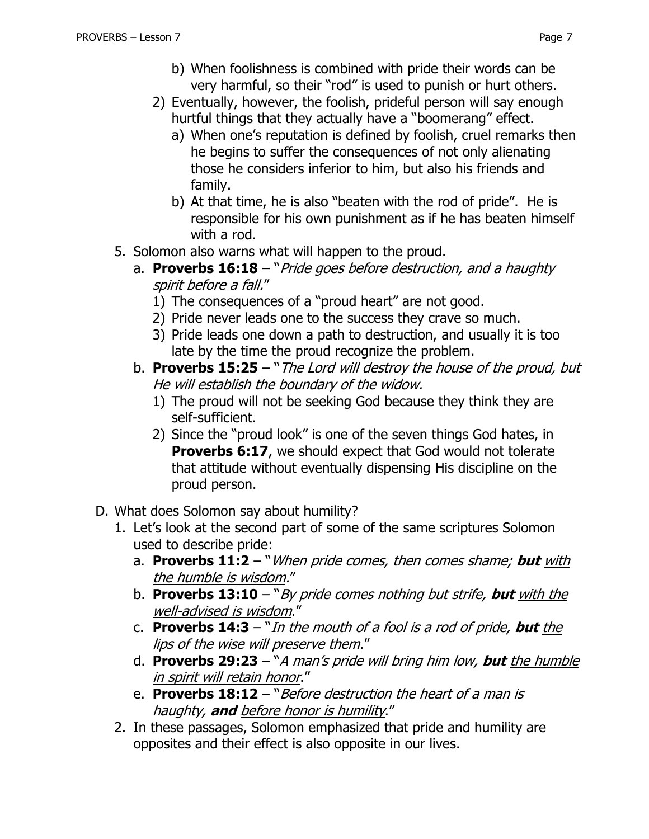- b) When foolishness is combined with pride their words can be very harmful, so their "rod" is used to punish or hurt others.
- 2) Eventually, however, the foolish, prideful person will say enough hurtful things that they actually have a "boomerang" effect.
	- a) When one's reputation is defined by foolish, cruel remarks then he begins to suffer the consequences of not only alienating those he considers inferior to him, but also his friends and family.
	- b) At that time, he is also "beaten with the rod of pride". He is responsible for his own punishment as if he has beaten himself with a rod.
- 5. Solomon also warns what will happen to the proud.
	- a. **Proverbs 16:18** "Pride goes before destruction, and a haughty spirit before a fall."
		- 1) The consequences of a "proud heart" are not good.
		- 2) Pride never leads one to the success they crave so much.
		- 3) Pride leads one down a path to destruction, and usually it is too late by the time the proud recognize the problem.
	- b. **Proverbs 15:25** "The Lord will destroy the house of the proud, but He will establish the boundary of the widow.
		- 1) The proud will not be seeking God because they think they are self-sufficient.
		- 2) Since the "proud look" is one of the seven things God hates, in **Proverbs 6:17**, we should expect that God would not tolerate that attitude without eventually dispensing His discipline on the proud person.
- D. What does Solomon say about humility?
	- 1. Let's look at the second part of some of the same scriptures Solomon used to describe pride:
		- a. **[Proverbs 11:2](https://www.biblegateway.com/passage/?search=Proverbs+11:2&version=NKJV)** "When pride comes, then comes shame; **but** with the humble is wisdom."
		- b. **[Proverbs 13:10](https://www.biblegateway.com/passage/?search=Proverbs+13:10&version=NKJV)** "By pride comes nothing but strife, **but** with the well-advised is wisdom."
		- c. **[Proverbs 14:3](https://www.biblegateway.com/passage/?search=Proverbs+14:3&version=NKJV)** "In the mouth of a fool is a rod of pride, **but** the lips of the wise will preserve them."
		- d. **Proverbs 29:23**  "A man's pride will bring him low, **but** the humble in spirit will retain honor."
		- e. **Proverbs 18:12** "Before destruction the heart of a man is haughty, **and** before honor is humility."
	- 2. In these passages, Solomon emphasized that pride and humility are opposites and their effect is also opposite in our lives.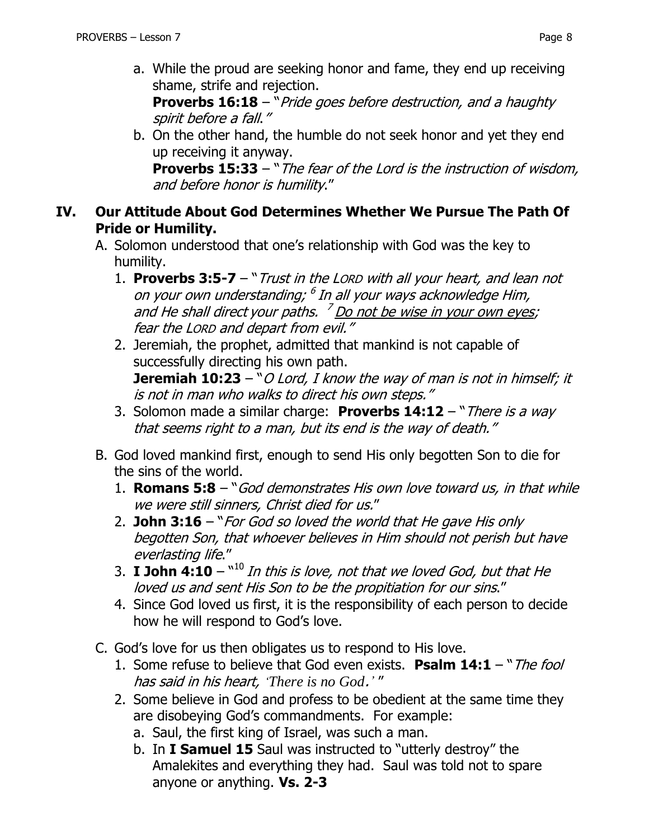a. While the proud are seeking honor and fame, they end up receiving shame, strife and rejection.

**[Proverbs 16:18](https://www.biblegateway.com/passage/?search=Proverbs+16%3A18&version=NKJV)** – "*Pride goes before destruction, and a haughty* spirit before a fall."

b. On the other hand, the humble do not seek honor and yet they end up receiving it anyway.

**Proverbs 15:33** – "The fear of the Lord is the instruction of wisdom, and before honor is humility."

### **IV. Our Attitude About God Determines Whether We Pursue The Path Of Pride or Humility.**

- A. Solomon understood that one's relationship with God was the key to humility.
	- 1. **Proverbs 3:5-7**  "Trust in the LORD with all your heart, and lean not on your own understanding; <sup>6</sup> In all your ways acknowledge Him, and He shall direct your paths. <sup>7</sup> Do not be wise in your own eyes; fear the LORD and depart from evil."
	- 2. Jeremiah, the prophet, admitted that mankind is not capable of successfully directing his own path. **Jeremiah 10:23** – "O Lord, I know the way of man is not in himself; it is not in man who walks to direct his own steps."
	- 3. Solomon made a similar charge: **Proverbs 14:12** "There is a way that seems right to a man, but its end is the way of death."
- B. God loved mankind first, enough to send His only begotten Son to die for the sins of the world.
	- 1. **Romans 5:8** "God demonstrates His own love toward us, in that while we were still sinners, Christ died for us."
	- 2. **John 3:16** "For God so loved the world that He gave His only begotten Son, that whoever believes in Him should not perish but have everlasting life."
	- 3.  $\,$  **I** John 4:10  $^{\mathrm{u10}}$  *In this is love, not that we loved God, but that He* loved us and sent His Son to be the propitiation for our sins."
	- 4. Since God loved us first, it is the responsibility of each person to decide how he will respond to God's love.
- C. God's love for us then obligates us to respond to His love.
	- 1. Some refuse to believe that God even exists. **Psalm 14:1**  "The fool has said in his heart, *'There is no God*.*'* "
	- 2. Some believe in God and profess to be obedient at the same time they are disobeying God's commandments. For example:
		- a. Saul, the first king of Israel, was such a man.
		- b. In **I Samuel 15** Saul was instructed to "utterly destroy" the Amalekites and everything they had. Saul was told not to spare anyone or anything. **Vs. 2-3**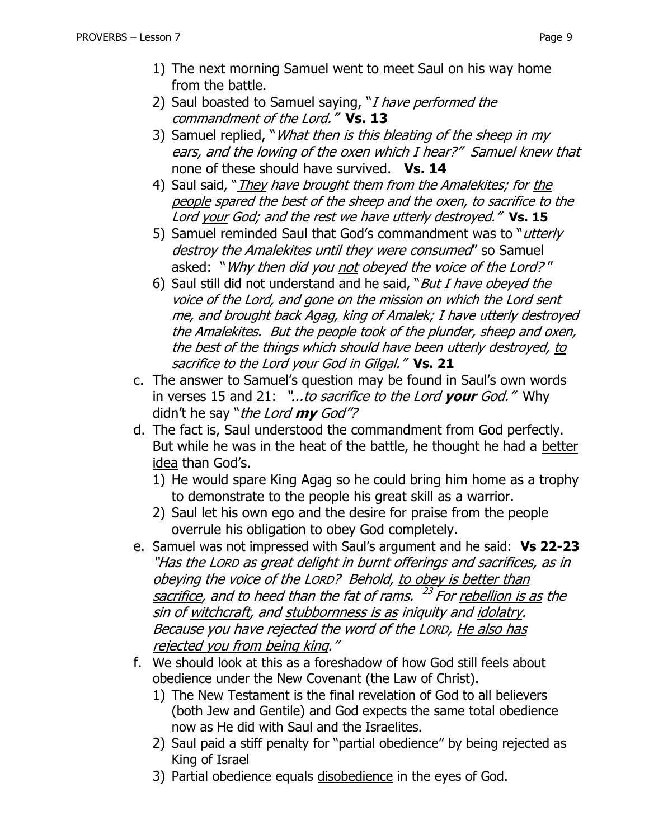- 2) Saul boasted to Samuel saying, "I have performed the commandment of the Lord." **Vs. 13**
- 3) Samuel replied, "*What then is this bleating of the sheep in my* ears, and the lowing of the oxen which I hear?" Samuel knew that none of these should have survived. **Vs. 14**
- 4) Saul said, "*They have brought them from the Amalekites; for the* people spared the best of the sheep and the oxen, to sacrifice to the Lord your God; and the rest we have utterly destroyed." **Vs. 15**
- 5) Samuel reminded Saul that God's commandment was to "utterly destroy the Amalekites until they were consumed" so Samuel asked: "Why then did you not obeyed the voice of the Lord? "
- 6) Saul still did not understand and he said, "But  $I$  have obeyed the voice of the Lord, and gone on the mission on which the Lord sent me, and brought back Agag, king of Amalek; I have utterly destroyed the Amalekites. But the people took of the plunder, sheep and oxen, the best of the things which should have been utterly destroyed, to sacrifice to the Lord your God in Gilgal." **Vs. 21**
- c. The answer to Samuel's question may be found in Saul's own words in verses 15 and 21: "...to sacrifice to the Lord **your** God." Why didn't he say "the Lord **my** God"?
- d. The fact is, Saul understood the commandment from God perfectly. But while he was in the heat of the battle, he thought he had a better idea than God's.
	- 1) He would spare King Agag so he could bring him home as a trophy to demonstrate to the people his great skill as a warrior.
	- 2) Saul let his own ego and the desire for praise from the people overrule his obligation to obey God completely.
- e. Samuel was not impressed with Saul's argument and he said: **Vs 22-23** "Has the LORD as great delight in burnt offerings and sacrifices, as in obeying the voice of the LORD? Behold, to obey is better than sacrifice, and to heed than the fat of rams. <sup>23</sup> For <u>rebellion is as</u> the sin of witchcraft, and stubbornness is as iniquity and idolatry. Because you have rejected the word of the LORD, He also has rejected you from being king."
- f. We should look at this as a foreshadow of how God still feels about obedience under the New Covenant (the Law of Christ).
	- 1) The New Testament is the final revelation of God to all believers (both Jew and Gentile) and God expects the same total obedience now as He did with Saul and the Israelites.
	- 2) Saul paid a stiff penalty for "partial obedience" by being rejected as King of Israel
	- 3) Partial obedience equals disobedience in the eyes of God.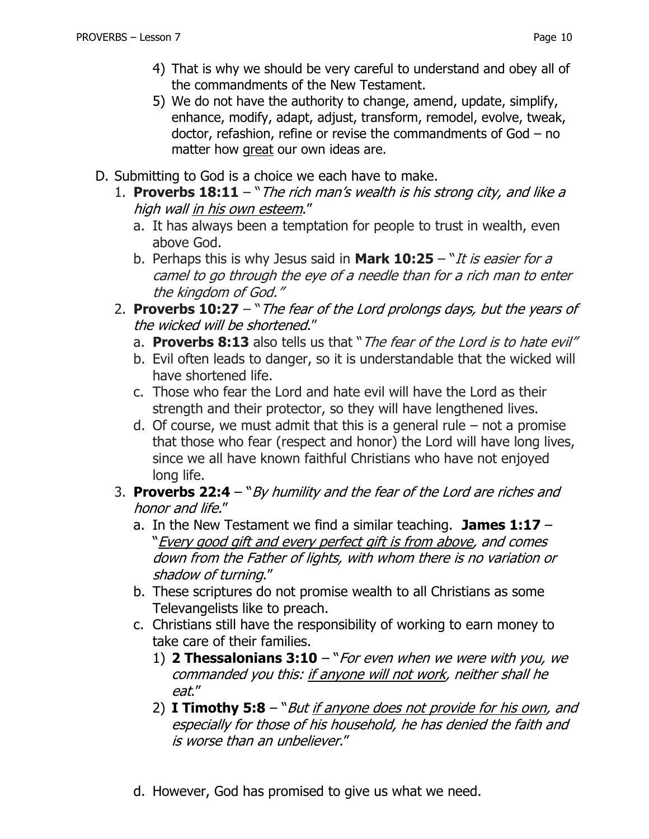- 4) That is why we should be very careful to understand and obey all of the commandments of the New Testament.
- 5) We do not have the authority to change, amend, update, simplify, enhance, modify, adapt, adjust, transform, remodel, evolve, tweak, doctor, refashion, refine or revise the commandments of God – no matter how great our own ideas are.
- D. Submitting to God is a choice we each have to make.
	- 1. **Proverbs 18:11** "The rich man's wealth is his strong city, and like a high wall in his own esteem."
		- a. It has always been a temptation for people to trust in wealth, even above God.
		- b. Perhaps this is why Jesus said in **Mark 10:25**  "It is easier for a camel to go through the eye of a needle than for a rich man to enter the kingdom of God."
	- 2. **Proverbs 10:27** "The fear of the Lord prolongs days, but the years of the wicked will be shortened."
		- a. **Proverbs 8:13** also tells us that "The fear of the Lord is to hate evil"
		- b. Evil often leads to danger, so it is understandable that the wicked will have shortened life.
		- c. Those who fear the Lord and hate evil will have the Lord as their strength and their protector, so they will have lengthened lives.
		- d. Of course, we must admit that this is a general rule  $-$  not a promise that those who fear (respect and honor) the Lord will have long lives, since we all have known faithful Christians who have not enjoyed long life.
	- 3. **Proverbs 22:4** "By humility and the fear of the Lord are riches and honor and life."
		- a. In the New Testament we find a similar teaching. **James 1:17**  "Every good gift and every perfect gift is from above, and comes down from the Father of lights, with whom there is no variation or shadow of turning."
		- b. These scriptures do not promise wealth to all Christians as some Televangelists like to preach.
		- c. Christians still have the responsibility of working to earn money to take care of their families.
			- 1) **2 Thessalonians 3:10** "For even when we were with you, we commanded you this: if anyone will not work, neither shall he eat."
			- 2) **I Timothy 5:8** "But if anyone does not provide for his own, and especially for those of his household, he has denied the faith and is worse than an unbeliever."
		- d. However, God has promised to give us what we need.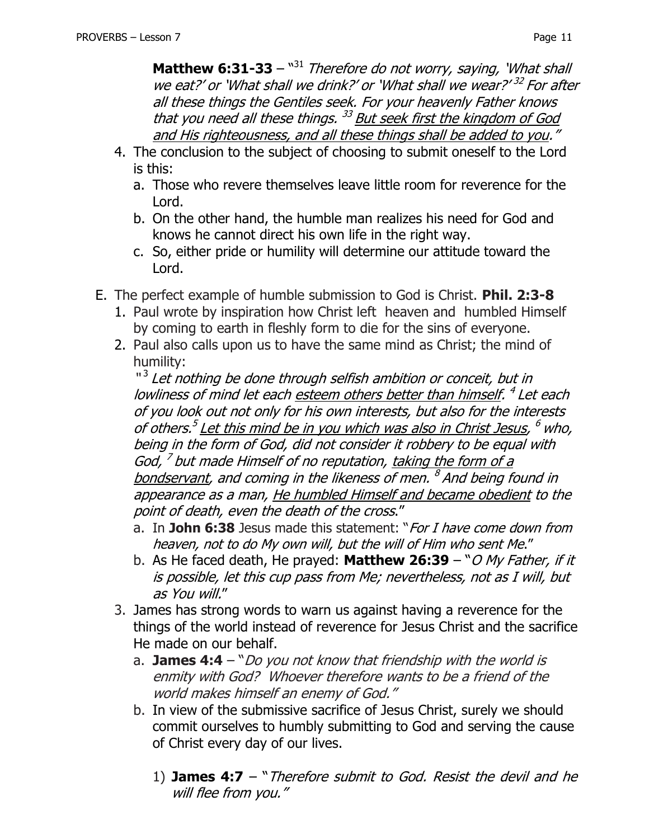**Matthew 6:31-33** – "<sup>31</sup> Therefore do not worry, saying, 'What shall we eat?' or `What shall we drink?' or `What shall we wear?' <sup>32</sup> For after all these things the Gentiles seek. For your heavenly Father knows that you need all these things. <sup>33</sup> But seek first the kingdom of God and His righteousness, and all these things shall be added to you."

- 4. The conclusion to the subject of choosing to submit oneself to the Lord is this:
	- a. Those who revere themselves leave little room for reverence for the Lord.
	- b. On the other hand, the humble man realizes his need for God and knows he cannot direct his own life in the right way.
	- c. So, either pride or humility will determine our attitude toward the Lord.
- E. The perfect example of humble submission to God is Christ. **Phil. 2:3-8**
	- 1. Paul wrote by inspiration how Christ left heaven and humbled Himself by coming to earth in fleshly form to die for the sins of everyone.
	- 2. Paul also calls upon us to have the same mind as Christ; the mind of humility:

"<sup>3</sup> Let nothing be done through selfish ambition or conceit, but in lowliness of mind let each esteem others better than himself. <sup>4</sup> Let each of you look out not only for his own interests, but also for the interests of others.<sup>5</sup> Let this mind be in you which was also in Christ Jesus, <sup>6</sup> who, being in the form of God, did not consider it robbery to be equal with God, <sup>7</sup> but made Himself of no reputation, taking the form of a bondservant, and coming in the likeness of men. <sup>8</sup> And being found in appearance as a man, He humbled Himself and became obedient to the point of death, even the death of the cross."

- a. In **John 6:38** Jesus made this statement: "For I have come down from heaven, not to do My own will, but the will of Him who sent Me."
- b. As He faced death, He prayed: **Matthew 26:39** "O My Father, if it is possible, let this cup pass from Me; nevertheless, not as I will, but as You will."
- 3. James has strong words to warn us against having a reverence for the things of the world instead of reverence for Jesus Christ and the sacrifice He made on our behalf.
	- a. **James 4:4** "Do you not know that friendship with the world is enmity with God? Whoever therefore wants to be a friend of the world makes himself an enemy of God."
	- b. In view of the submissive sacrifice of Jesus Christ, surely we should commit ourselves to humbly submitting to God and serving the cause of Christ every day of our lives.
		- 1) **James 4:7** "Therefore submit to God. Resist the devil and he will flee from you."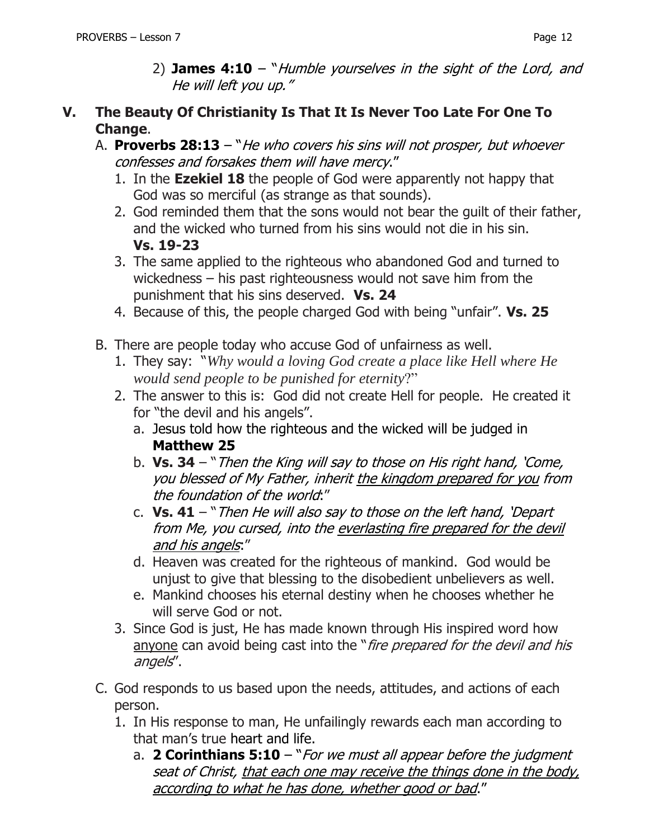### **V. The Beauty Of Christianity Is That It Is Never Too Late For One To Change**.

- A. **Proverbs 28:13** "He who covers his sins will not prosper, but whoever confesses and forsakes them will have mercy."
	- 1. In the **Ezekiel 18** the people of God were apparently not happy that God was so merciful (as strange as that sounds).
	- 2. God reminded them that the sons would not bear the guilt of their father, and the wicked who turned from his sins would not die in his sin. **Vs. 19-23**
	- 3. The same applied to the righteous who abandoned God and turned to wickedness – his past righteousness would not save him from the punishment that his sins deserved. **Vs. 24**
	- 4. Because of this, the people charged God with being "unfair". **Vs. 25**
- B. There are people today who accuse God of unfairness as well.
	- 1. They say: "*Why would a loving God create a place like Hell where He would send people to be punished for eternity*?"
	- 2. The answer to this is: God did not create Hell for people. He created it for "the devil and his angels".
		- a. Jesus told how the righteous and the wicked will be judged in **Matthew 25**
		- b. **Vs. 34** "Then the King will say to those on His right hand, 'Come, you blessed of My Father, inherit the kingdom prepared for you from the foundation of the world:"
		- c. **Vs. 41** "Then He will also say to those on the left hand, 'Depart from Me, you cursed, into the everlasting fire prepared for the devil and his angels:"
		- d. Heaven was created for the righteous of mankind. God would be unjust to give that blessing to the disobedient unbelievers as well.
		- e. Mankind chooses his eternal destiny when he chooses whether he will serve God or not.
	- 3. Since God is just, He has made known through His inspired word how anyone can avoid being cast into the "*fire prepared for the devil and his* angels".
- C. God responds to us based upon the needs, attitudes, and actions of each person.
	- 1. In His response to man, He unfailingly rewards each man according to that man's true heart and life.
		- a. **2 Corinthians 5:10** "For we must all appear before the judgment seat of Christ, that each one may receive the things done in the body, according to what he has done, whether good or bad."